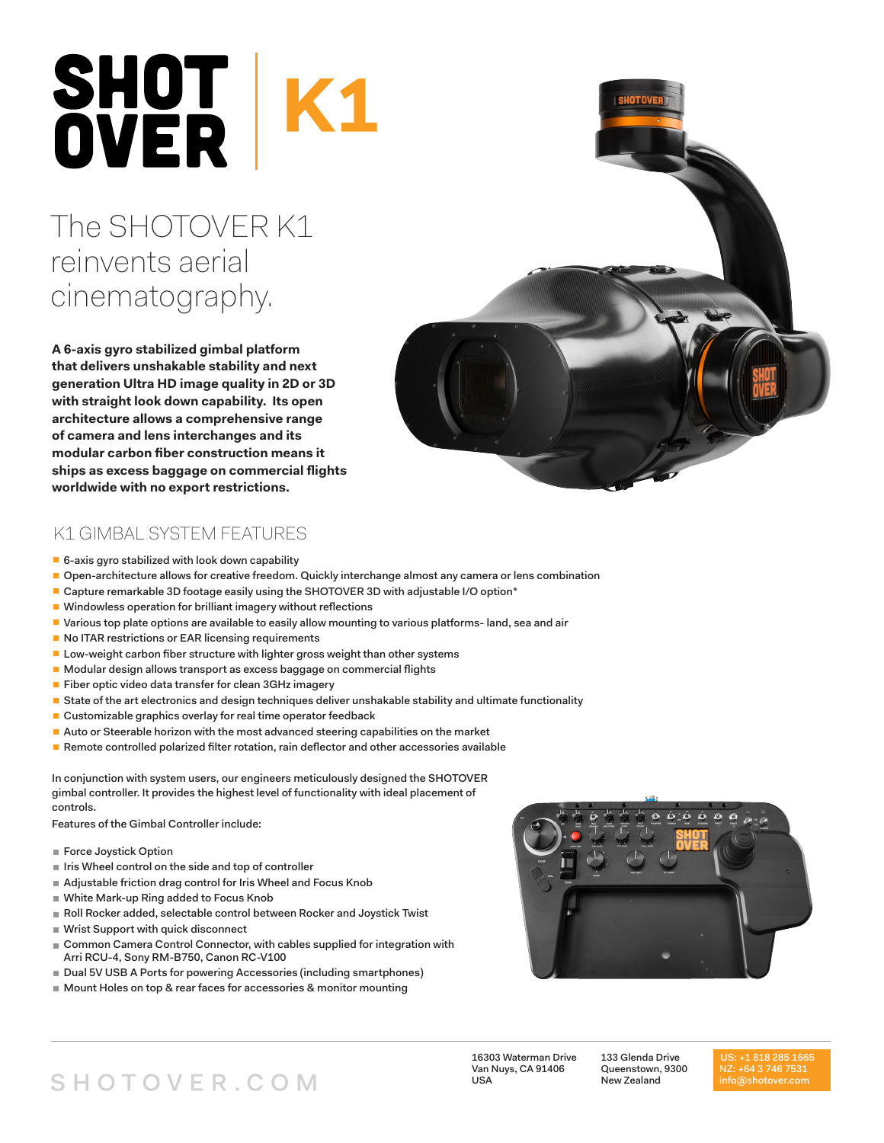# SHOT K1<br>OVER K1

# The SHOTOVER K1 reinvents aerial cinematography.

**A 6-axis gyro stabilized gimbal platform that delivers unshakable stability and next generation Ultra HD image quality in 2D or 3D with straight look down capability. Its open architecture allows a comprehensive range of camera and lens interchanges and its modular carbon fiber construction means it ships as excess baggage on commercial flights worldwide with no export restrictions.**

### K1 GIMBAL SYSTEM FEATURES

- $\blacksquare$  6-axis gyro stabilized with look down capability
- Open-architecture allows for creative freedom. Quickly interchange almost any camera or lens combination
- Capture remarkable 3D footage easily using the SHOTOVER 3D with adjustable I/O option\*
- Windowless operation for brilliant imagery without reflections
- Various top plate options are available to easily allow mounting to various platforms- land, sea and air
- No ITAR restrictions or EAR licensing requirements
- **Low-weight carbon fiber structure with lighter gross weight than other systems**
- Modular design allows transport as excess baggage on commercial flights
- Fiber optic video data transfer for clean 3GHz imagery
- State of the art electronics and design techniques deliver unshakable stability and ultimate functionality
- Customizable graphics overlay for real time operator feedback
- **Auto or Steerable horizon with the most advanced steering capabilities on the market**
- Remote controlled polarized filter rotation, rain deflector and other accessories available

In conjunction with system users, our engineers meticulously designed the SHOTOVER gimbal controller. It provides the highest level of functionality with ideal placement of controls.

Features of the Gimbal Controller include:

- Force Joystick Option
- If Iris Wheel control on the side and top of controller
- Adjustable friction drag control for Iris Wheel and Focus Knob
- White Mark-up Ring added to Focus Knob
- Roll Rocker added, selectable control between Rocker and Joystick Twist
- Wrist Support with quick disconnect
- Common Camera Control Connector, with cables supplied for integration with Arri RCU-4, Sony RM-B750, Canon RC-V100
- Dual 5V USB A Ports for powering Accessories (including smartphones)
- Mount Holes on top & rear faces for accessories & monitor mounting



16303 Waterman Drive Van Nuys, CA 91406 USA

133 Glenda Drive Queenstown, 9300 New Zealand

US: +1 818 285 1665 info@shotover.com

# SHOTOVER.COM